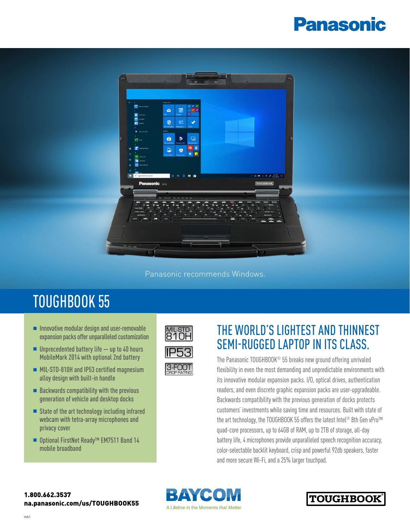# **Panasonic**



Panasonic recommends Windows.

## TOUGHBOOK 55

- $\blacksquare$  Innovative modular design and user-removable expansion packs offer unparalleled customization
- $\blacksquare$  Unprecedented battery life  $-$  up to 40 hours MobileMark 2014 with optional 2nd battery
- MIL-STD-810H and IP53 certified magnesium alloy design with built-in handle
- $\blacksquare$  Backwards compatibility with the previous generation of vehicle and desktop docks
- $\blacksquare$  State of the art technology including infrared webcam with tetra-array microphones and privacy cover
- Optional FirstNet Ready<sup>™</sup> EM7511 Band 14 mobile broadband



### THE WORLD'S LIGHTEST AND THINNEST SEMI-RUGGED LAPTOP IN ITS CLASS.

The Panasonic TOUGHBOOK® 55 breaks new ground offering unrivaled flexibility in even the most demanding and unpredictable environments with its innovative modular expansion packs. I/O, optical drives, authentication readers, and even discrete graphic expansion packs are user-upgradeable. Backwards compatibility with the previous generation of docks protects customers' investments while saving time and resources. Built with state of the art technology, the TOUGHBOOK 55 offers the latest Intel® 8th Gen vPro™ quad-core processors, up to 64GB of RAM, up to 2TB of storage, all-day battery life, 4 microphones provide unparalleled speech recognition accuracy, color-selectable backlit keyboard, crisp and powerful 92db speakers, faster and more secure Wi-Fi, and a 25% larger touchpad.